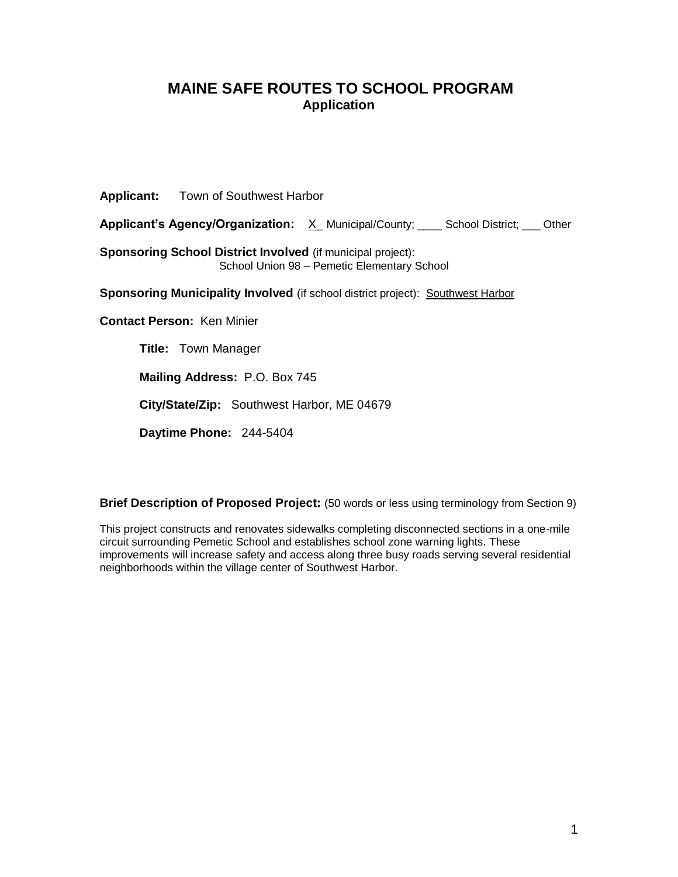# **MAINE SAFE ROUTES TO SCHOOL PROGRAM Application**

**Applicant:** Town of Southwest Harbor

Applicant's Agency/Organization: <u>X</u> Municipal/County; \_\_\_ School District; \_\_ Other

**Sponsoring School District Involved** (if municipal project): School Union 98 – Pemetic Elementary School

**Sponsoring Municipality Involved** (if school district project): Southwest Harbor

**Contact Person:** Ken Minier

**Title:** Town Manager

**Mailing Address:** P.O. Box 745

**City/State/Zip:** Southwest Harbor, ME 04679

**Daytime Phone:** 244-5404

**Brief Description of Proposed Project:** (50 words or less using terminology from Section 9)

This project constructs and renovates sidewalks completing disconnected sections in a one-mile circuit surrounding Pemetic School and establishes school zone warning lights. These improvements will increase safety and access along three busy roads serving several residential neighborhoods within the village center of Southwest Harbor.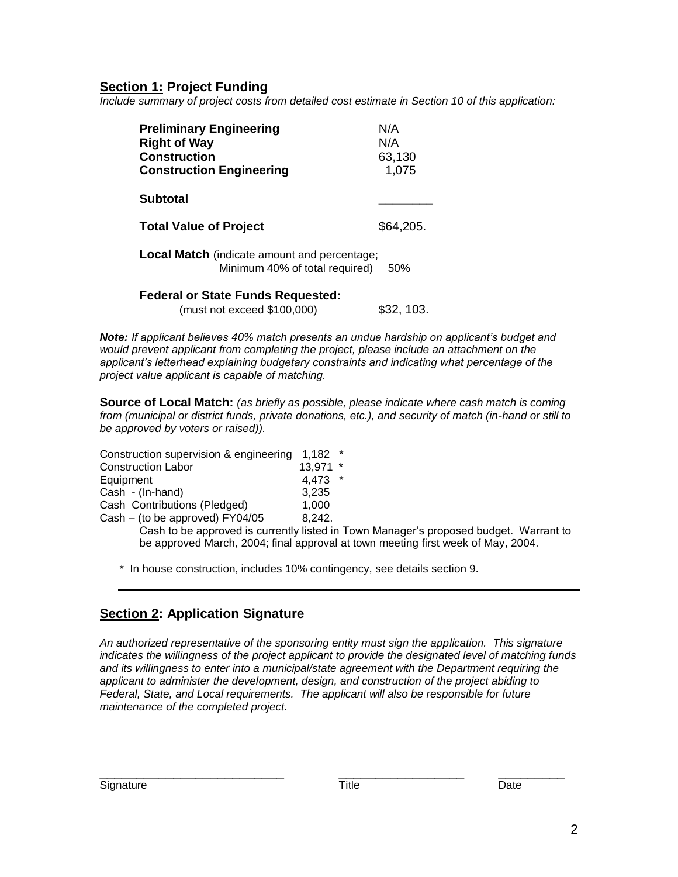# **Section 1: Project Funding**

*Include summary of project costs from detailed cost estimate in Section 10 of this application:*

| <b>Preliminary Engineering</b><br><b>Right of Way</b><br><b>Construction</b><br><b>Construction Engineering</b> | N/A<br>N/A<br>63,130<br>1,075 |
|-----------------------------------------------------------------------------------------------------------------|-------------------------------|
| <b>Subtotal</b>                                                                                                 |                               |
| <b>Total Value of Project</b>                                                                                   | \$64,205.                     |
| <b>Local Match</b> (indicate amount and percentage;<br>Minimum 40% of total required)                           | 50%                           |
| <b>Federal or State Funds Requested:</b>                                                                        |                               |

(must not exceed \$100,000) \$32, 103.

*Note: If applicant believes 40% match presents an undue hardship on applicant's budget and would prevent applicant from completing the project, please include an attachment on the applicant's letterhead explaining budgetary constraints and indicating what percentage of the project value applicant is capable of matching.*

**Source of Local Match:** *(as briefly as possible, please indicate where cash match is coming from (municipal or district funds, private donations, etc.), and security of match (in-hand or still to be approved by voters or raised)).*

| Construction supervision & engineering                                                                         | 1.182  | $\star$ |
|----------------------------------------------------------------------------------------------------------------|--------|---------|
| <b>Construction Labor</b>                                                                                      | 13,971 | $\star$ |
| Equipment                                                                                                      | 4,473  | $\star$ |
| Cash - (In-hand)                                                                                               | 3.235  |         |
| Cash Contributions (Pledged)                                                                                   | 1.000  |         |
| Cash – (to be approved) FY04/05                                                                                | 8,242. |         |
| On a la dia dia manazara di James Juan del Galego Juan Juan 1990. Ilay kaominina dia kaominina dia kaominina d |        |         |

Cash to be approved is currently listed in Town Manager's proposed budget. Warrant to be approved March, 2004; final approval at town meeting first week of May, 2004.

\* In house construction, includes 10% contingency, see details section 9.

# **Section 2: Application Signature**

*An authorized representative of the sponsoring entity must sign the application. This signature indicates the willingness of the project applicant to provide the designated level of matching funds and its willingness to enter into a municipal/state agreement with the Department requiring the applicant to administer the development, design, and construction of the project abiding to Federal, State, and Local requirements. The applicant will also be responsible for future maintenance of the completed project.*

\_\_\_\_\_\_\_\_\_\_\_\_\_\_\_\_\_\_\_\_\_\_\_\_\_ \_\_\_\_\_\_\_\_\_\_\_\_\_\_\_\_\_ \_\_\_\_\_\_\_\_\_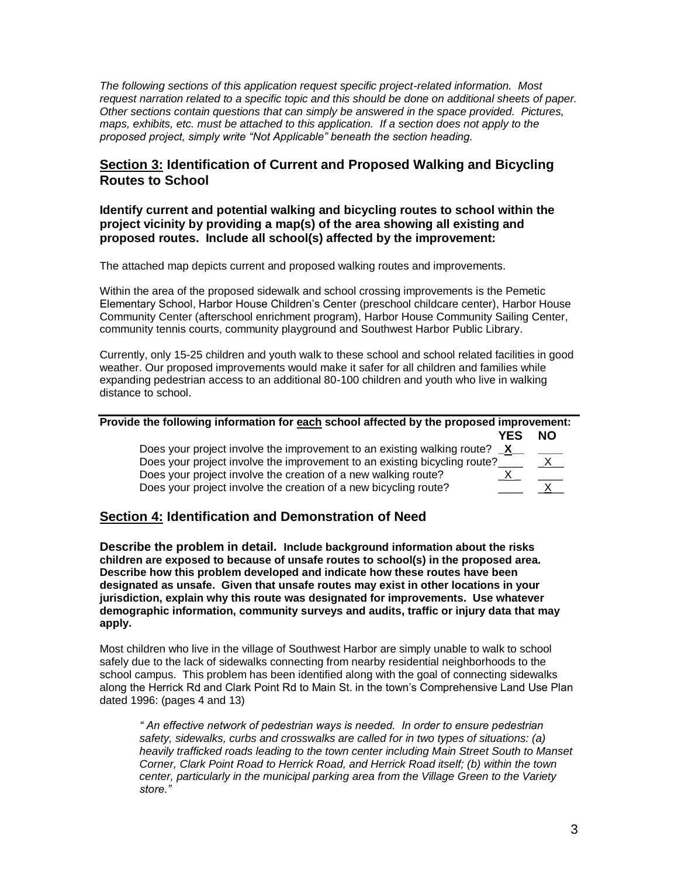*The following sections of this application request specific project-related information. Most request narration related to a specific topic and this should be done on additional sheets of paper. Other sections contain questions that can simply be answered in the space provided. Pictures, maps, exhibits, etc. must be attached to this application. If a section does not apply to the proposed project, simply write "Not Applicable" beneath the section heading.*

### **Section 3: Identification of Current and Proposed Walking and Bicycling Routes to School**

### **Identify current and potential walking and bicycling routes to school within the project vicinity by providing a map(s) of the area showing all existing and proposed routes. Include all school(s) affected by the improvement:**

The attached map depicts current and proposed walking routes and improvements.

Within the area of the proposed sidewalk and school crossing improvements is the Pemetic Elementary School, Harbor House Children's Center (preschool childcare center), Harbor House Community Center (afterschool enrichment program), Harbor House Community Sailing Center, community tennis courts, community playground and Southwest Harbor Public Library.

Currently, only 15-25 children and youth walk to these school and school related facilities in good weather. Our proposed improvements would make it safer for all children and families while expanding pedestrian access to an additional 80-100 children and youth who live in walking distance to school.

| Provide the following information for each school affected by the proposed improvement: |              |     |
|-----------------------------------------------------------------------------------------|--------------|-----|
|                                                                                         | <b>YES</b>   | NO. |
| Does your project involve the improvement to an existing walking route?                 | $\mathsf{X}$ |     |
| Does your project involve the improvement to an existing bicycling route?               |              |     |
| Does your project involve the creation of a new walking route?                          |              |     |
| Does your project involve the creation of a new bicycling route?                        |              |     |

# **Section 4: Identification and Demonstration of Need**

**Describe the problem in detail. Include background information about the risks children are exposed to because of unsafe routes to school(s) in the proposed area. Describe how this problem developed and indicate how these routes have been designated as unsafe. Given that unsafe routes may exist in other locations in your jurisdiction, explain why this route was designated for improvements. Use whatever demographic information, community surveys and audits, traffic or injury data that may apply.**

Most children who live in the village of Southwest Harbor are simply unable to walk to school safely due to the lack of sidewalks connecting from nearby residential neighborhoods to the school campus. This problem has been identified along with the goal of connecting sidewalks along the Herrick Rd and Clark Point Rd to Main St. in the town's Comprehensive Land Use Plan dated 1996: (pages 4 and 13)

*" An effective network of pedestrian ways is needed. In order to ensure pedestrian safety, sidewalks, curbs and crosswalks are called for in two types of situations: (a) heavily trafficked roads leading to the town center including Main Street South to Manset Corner, Clark Point Road to Herrick Road, and Herrick Road itself; (b) within the town center, particularly in the municipal parking area from the Village Green to the Variety store."*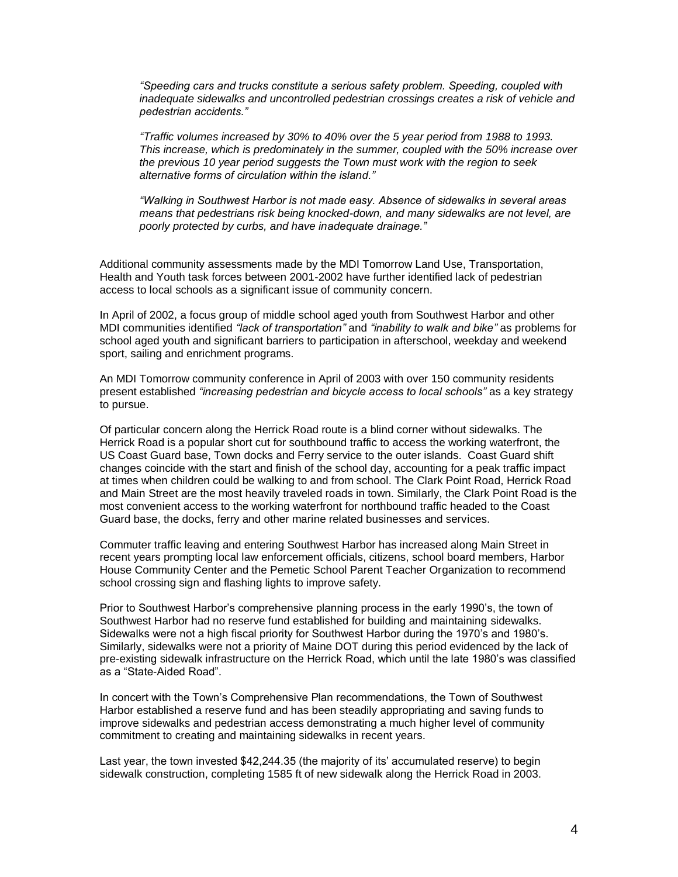*"Speeding cars and trucks constitute a serious safety problem. Speeding, coupled with inadequate sidewalks and uncontrolled pedestrian crossings creates a risk of vehicle and pedestrian accidents."*

*"Traffic volumes increased by 30% to 40% over the 5 year period from 1988 to 1993. This increase, which is predominately in the summer, coupled with the 50% increase over the previous 10 year period suggests the Town must work with the region to seek alternative forms of circulation within the island."*

*"Walking in Southwest Harbor is not made easy. Absence of sidewalks in several areas means that pedestrians risk being knocked-down, and many sidewalks are not level, are poorly protected by curbs, and have inadequate drainage."*

Additional community assessments made by the MDI Tomorrow Land Use, Transportation, Health and Youth task forces between 2001-2002 have further identified lack of pedestrian access to local schools as a significant issue of community concern.

In April of 2002, a focus group of middle school aged youth from Southwest Harbor and other MDI communities identified *"lack of transportation"* and *"inability to walk and bike"* as problems for school aged youth and significant barriers to participation in afterschool, weekday and weekend sport, sailing and enrichment programs.

An MDI Tomorrow community conference in April of 2003 with over 150 community residents present established *"increasing pedestrian and bicycle access to local schools"* as a key strategy to pursue.

Of particular concern along the Herrick Road route is a blind corner without sidewalks. The Herrick Road is a popular short cut for southbound traffic to access the working waterfront, the US Coast Guard base, Town docks and Ferry service to the outer islands. Coast Guard shift changes coincide with the start and finish of the school day, accounting for a peak traffic impact at times when children could be walking to and from school. The Clark Point Road, Herrick Road and Main Street are the most heavily traveled roads in town. Similarly, the Clark Point Road is the most convenient access to the working waterfront for northbound traffic headed to the Coast Guard base, the docks, ferry and other marine related businesses and services.

Commuter traffic leaving and entering Southwest Harbor has increased along Main Street in recent years prompting local law enforcement officials, citizens, school board members, Harbor House Community Center and the Pemetic School Parent Teacher Organization to recommend school crossing sign and flashing lights to improve safety.

Prior to Southwest Harbor's comprehensive planning process in the early 1990's, the town of Southwest Harbor had no reserve fund established for building and maintaining sidewalks. Sidewalks were not a high fiscal priority for Southwest Harbor during the 1970's and 1980's. Similarly, sidewalks were not a priority of Maine DOT during this period evidenced by the lack of pre-existing sidewalk infrastructure on the Herrick Road, which until the late 1980's was classified as a "State-Aided Road".

In concert with the Town's Comprehensive Plan recommendations, the Town of Southwest Harbor established a reserve fund and has been steadily appropriating and saving funds to improve sidewalks and pedestrian access demonstrating a much higher level of community commitment to creating and maintaining sidewalks in recent years.

Last year, the town invested \$42,244.35 (the majority of its' accumulated reserve) to begin sidewalk construction, completing 1585 ft of new sidewalk along the Herrick Road in 2003.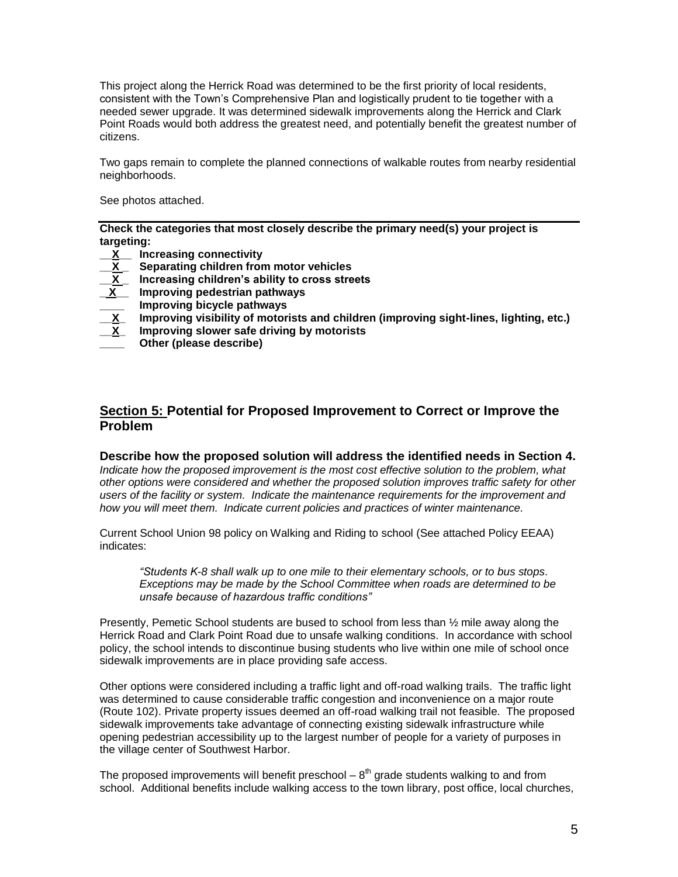This project along the Herrick Road was determined to be the first priority of local residents, consistent with the Town's Comprehensive Plan and logistically prudent to tie together with a needed sewer upgrade. It was determined sidewalk improvements along the Herrick and Clark Point Roads would both address the greatest need, and potentially benefit the greatest number of citizens.

Two gaps remain to complete the planned connections of walkable routes from nearby residential neighborhoods.

See photos attached.

**Check the categories that most closely describe the primary need(s) your project is targeting:**

- **\_\_X\_\_ Increasing connectivity**
- **\_\_X \_ Separating children from motor vehicles**
- **\_\_X \_ Increasing children's ability to cross streets**
- **\_ X\_\_ Improving pedestrian pathways**
- **Lace 1** Improving bicycle pathways<br>X Improving visibility of motor
- **\_\_X\_ Improving visibility of motorists and children (improving sight-lines, lighting, etc.)**
- **\_\_X\_ Improving slower safe driving by motorists**
- **\_\_\_\_ Other (please describe)**

### **Section 5: Potential for Proposed Improvement to Correct or Improve the Problem**

#### **Describe how the proposed solution will address the identified needs in Section 4.**

*Indicate how the proposed improvement is the most cost effective solution to the problem, what other options were considered and whether the proposed solution improves traffic safety for other users of the facility or system. Indicate the maintenance requirements for the improvement and how you will meet them. Indicate current policies and practices of winter maintenance.*

Current School Union 98 policy on Walking and Riding to school (See attached Policy EEAA) indicates:

*"Students K-8 shall walk up to one mile to their elementary schools, or to bus stops. Exceptions may be made by the School Committee when roads are determined to be unsafe because of hazardous traffic conditions"*

Presently, Pemetic School students are bused to school from less than ½ mile away along the Herrick Road and Clark Point Road due to unsafe walking conditions. In accordance with school policy, the school intends to discontinue busing students who live within one mile of school once sidewalk improvements are in place providing safe access.

Other options were considered including a traffic light and off-road walking trails. The traffic light was determined to cause considerable traffic congestion and inconvenience on a major route (Route 102). Private property issues deemed an off-road walking trail not feasible. The proposed sidewalk improvements take advantage of connecting existing sidewalk infrastructure while opening pedestrian accessibility up to the largest number of people for a variety of purposes in the village center of Southwest Harbor.

The proposed improvements will benefit preschool  $-8<sup>th</sup>$  grade students walking to and from school. Additional benefits include walking access to the town library, post office, local churches,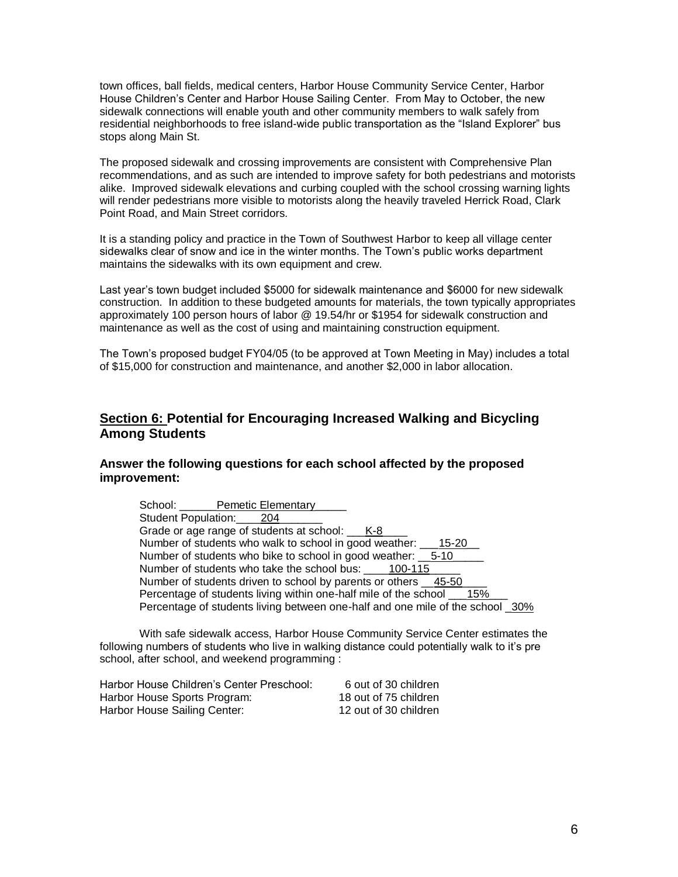town offices, ball fields, medical centers, Harbor House Community Service Center, Harbor House Children's Center and Harbor House Sailing Center. From May to October, the new sidewalk connections will enable youth and other community members to walk safely from residential neighborhoods to free island-wide public transportation as the "Island Explorer" bus stops along Main St.

The proposed sidewalk and crossing improvements are consistent with Comprehensive Plan recommendations, and as such are intended to improve safety for both pedestrians and motorists alike. Improved sidewalk elevations and curbing coupled with the school crossing warning lights will render pedestrians more visible to motorists along the heavily traveled Herrick Road, Clark Point Road, and Main Street corridors.

It is a standing policy and practice in the Town of Southwest Harbor to keep all village center sidewalks clear of snow and ice in the winter months. The Town's public works department maintains the sidewalks with its own equipment and crew.

Last year's town budget included \$5000 for sidewalk maintenance and \$6000 for new sidewalk construction. In addition to these budgeted amounts for materials, the town typically appropriates approximately 100 person hours of labor @ 19.54/hr or \$1954 for sidewalk construction and maintenance as well as the cost of using and maintaining construction equipment.

The Town's proposed budget FY04/05 (to be approved at Town Meeting in May) includes a total of \$15,000 for construction and maintenance, and another \$2,000 in labor allocation.

### **Section 6: Potential for Encouraging Increased Walking and Bicycling Among Students**

### **Answer the following questions for each school affected by the proposed improvement:**

| School: Pemetic Elementary                                                     |
|--------------------------------------------------------------------------------|
| Student Population: 204                                                        |
| Grade or age range of students at school: ____ K-8                             |
| Number of students who walk to school in good weather: __<br>15-20             |
| Number of students who bike to school in good weather: 5-10                    |
| Number of students who take the school bus: 100-115                            |
| Number of students driven to school by parents or others 45-50                 |
| Percentage of students living within one-half mile of the school ___15%        |
| Percentage of students living between one-half and one mile of the school _30% |

With safe sidewalk access, Harbor House Community Service Center estimates the following numbers of students who live in walking distance could potentially walk to it's pre school, after school, and weekend programming :

| Harbor House Children's Center Preschool: | 6 out of 30 children  |
|-------------------------------------------|-----------------------|
| Harbor House Sports Program:              | 18 out of 75 children |
| Harbor House Sailing Center:              | 12 out of 30 children |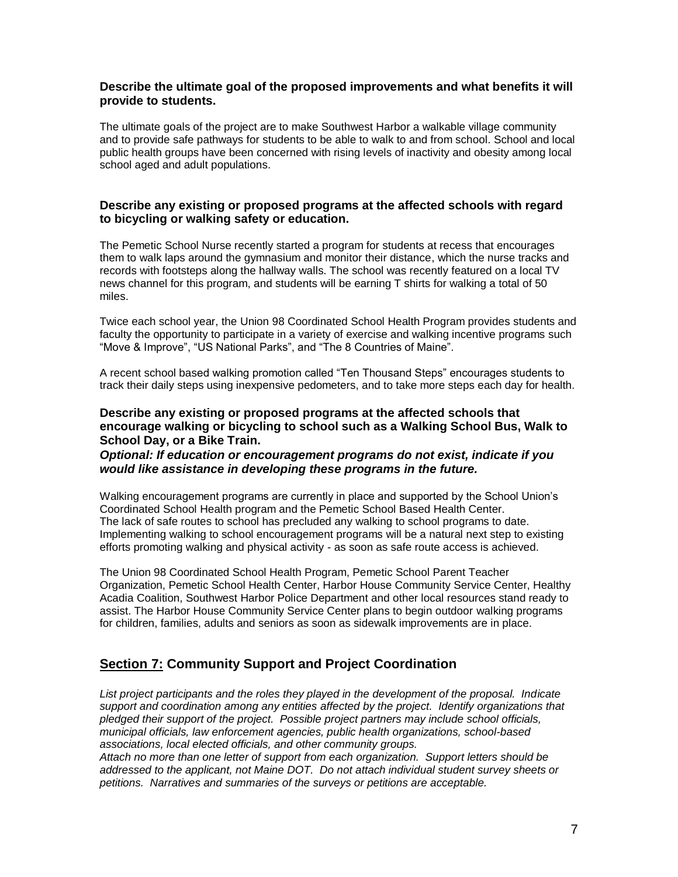### **Describe the ultimate goal of the proposed improvements and what benefits it will provide to students.**

The ultimate goals of the project are to make Southwest Harbor a walkable village community and to provide safe pathways for students to be able to walk to and from school. School and local public health groups have been concerned with rising levels of inactivity and obesity among local school aged and adult populations.

### **Describe any existing or proposed programs at the affected schools with regard to bicycling or walking safety or education.**

The Pemetic School Nurse recently started a program for students at recess that encourages them to walk laps around the gymnasium and monitor their distance, which the nurse tracks and records with footsteps along the hallway walls. The school was recently featured on a local TV news channel for this program, and students will be earning T shirts for walking a total of 50 miles.

Twice each school year, the Union 98 Coordinated School Health Program provides students and faculty the opportunity to participate in a variety of exercise and walking incentive programs such "Move & Improve", "US National Parks", and "The 8 Countries of Maine".

A recent school based walking promotion called "Ten Thousand Steps" encourages students to track their daily steps using inexpensive pedometers, and to take more steps each day for health.

### **Describe any existing or proposed programs at the affected schools that encourage walking or bicycling to school such as a Walking School Bus, Walk to School Day, or a Bike Train.**

### *Optional: If education or encouragement programs do not exist, indicate if you would like assistance in developing these programs in the future.*

Walking encouragement programs are currently in place and supported by the School Union's Coordinated School Health program and the Pemetic School Based Health Center. The lack of safe routes to school has precluded any walking to school programs to date. Implementing walking to school encouragement programs will be a natural next step to existing efforts promoting walking and physical activity - as soon as safe route access is achieved.

The Union 98 Coordinated School Health Program, Pemetic School Parent Teacher Organization, Pemetic School Health Center, Harbor House Community Service Center, Healthy Acadia Coalition, Southwest Harbor Police Department and other local resources stand ready to assist. The Harbor House Community Service Center plans to begin outdoor walking programs for children, families, adults and seniors as soon as sidewalk improvements are in place.

### **Section 7: Community Support and Project Coordination**

*List project participants and the roles they played in the development of the proposal. Indicate support and coordination among any entities affected by the project. Identify organizations that pledged their support of the project. Possible project partners may include school officials, municipal officials, law enforcement agencies, public health organizations, school-based associations, local elected officials, and other community groups.*

*Attach no more than one letter of support from each organization. Support letters should be addressed to the applicant, not Maine DOT. Do not attach individual student survey sheets or petitions. Narratives and summaries of the surveys or petitions are acceptable.*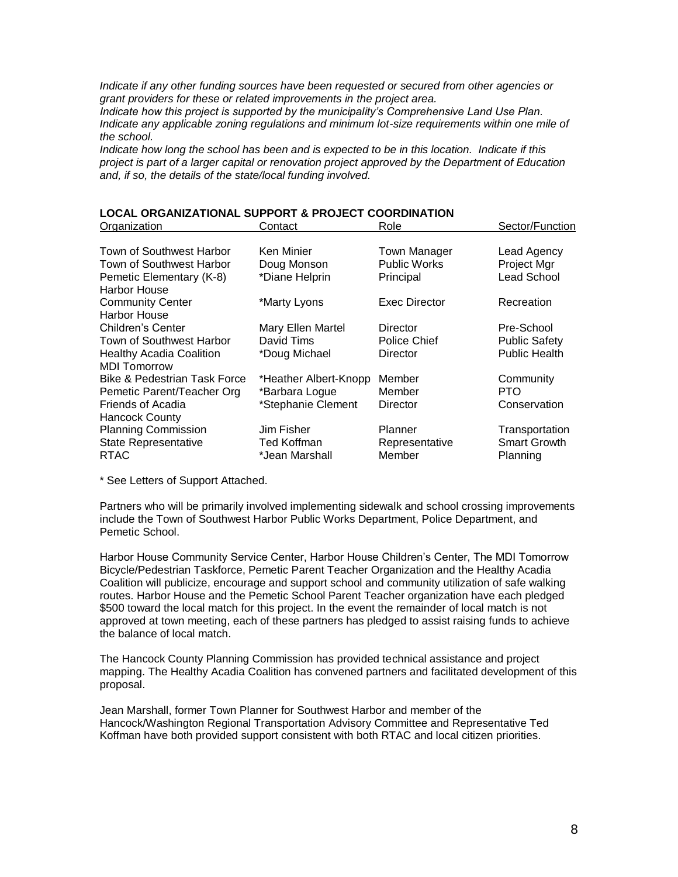*Indicate if any other funding sources have been requested or secured from other agencies or grant providers for these or related improvements in the project area.*

*Indicate how this project is supported by the municipality's Comprehensive Land Use Plan. Indicate any applicable zoning regulations and minimum lot-size requirements within one mile of the school.*

*Indicate how long the school has been and is expected to be in this location. Indicate if this project is part of a larger capital or renovation project approved by the Department of Education and, if so, the details of the state/local funding involved.*

#### **LOCAL ORGANIZATIONAL SUPPORT & PROJECT COORDINATION** Organization Contact Role Sector/Function

| -----------                             |                       |                     |                      |
|-----------------------------------------|-----------------------|---------------------|----------------------|
|                                         |                       |                     |                      |
| Town of Southwest Harbor                | Ken Minier            | <b>Town Manager</b> | Lead Agency          |
| <b>Town of Southwest Harbor</b>         | Doug Monson           | <b>Public Works</b> | Project Mgr          |
| Pemetic Elementary (K-8)                | *Diane Helprin        | Principal           | Lead School          |
| <b>Harbor House</b>                     |                       |                     |                      |
| <b>Community Center</b>                 | *Marty Lyons          | Exec Director       | Recreation           |
| <b>Harbor House</b>                     |                       |                     |                      |
| Children's Center                       | Mary Ellen Martel     | Director            | Pre-School           |
| Town of Southwest Harbor                | David Tims            | Police Chief        | <b>Public Safety</b> |
| <b>Healthy Acadia Coalition</b>         | *Doug Michael         | <b>Director</b>     | <b>Public Health</b> |
| <b>MDI Tomorrow</b>                     |                       |                     |                      |
| <b>Bike &amp; Pedestrian Task Force</b> | *Heather Albert-Knopp | Member              | Community            |
| Pemetic Parent/Teacher Org              | *Barbara Logue        | Member              | PTO                  |
| Friends of Acadia                       | *Stephanie Clement    | Director            | Conservation         |
| <b>Hancock County</b>                   |                       |                     |                      |
| <b>Planning Commission</b>              | Jim Fisher            | Planner             | Transportation       |
| <b>State Representative</b>             | Ted Koffman           | Representative      | <b>Smart Growth</b>  |
| <b>RTAC</b>                             | *Jean Marshall        | Member              | Planning             |
|                                         |                       |                     |                      |

\* See Letters of Support Attached.

Partners who will be primarily involved implementing sidewalk and school crossing improvements include the Town of Southwest Harbor Public Works Department, Police Department, and Pemetic School.

Harbor House Community Service Center, Harbor House Children's Center, The MDI Tomorrow Bicycle/Pedestrian Taskforce, Pemetic Parent Teacher Organization and the Healthy Acadia Coalition will publicize, encourage and support school and community utilization of safe walking routes. Harbor House and the Pemetic School Parent Teacher organization have each pledged \$500 toward the local match for this project. In the event the remainder of local match is not approved at town meeting, each of these partners has pledged to assist raising funds to achieve the balance of local match.

The Hancock County Planning Commission has provided technical assistance and project mapping. The Healthy Acadia Coalition has convened partners and facilitated development of this proposal.

Jean Marshall, former Town Planner for Southwest Harbor and member of the Hancock/Washington Regional Transportation Advisory Committee and Representative Ted Koffman have both provided support consistent with both RTAC and local citizen priorities.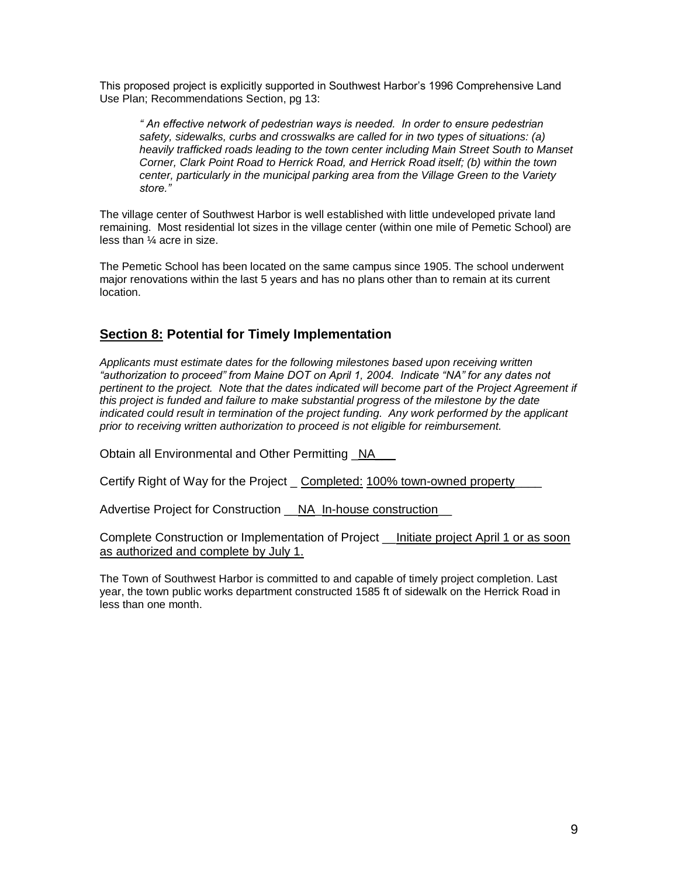This proposed project is explicitly supported in Southwest Harbor's 1996 Comprehensive Land Use Plan; Recommendations Section, pg 13:

*" An effective network of pedestrian ways is needed. In order to ensure pedestrian safety, sidewalks, curbs and crosswalks are called for in two types of situations: (a) heavily trafficked roads leading to the town center including Main Street South to Manset Corner, Clark Point Road to Herrick Road, and Herrick Road itself; (b) within the town center, particularly in the municipal parking area from the Village Green to the Variety store."* 

The village center of Southwest Harbor is well established with little undeveloped private land remaining. Most residential lot sizes in the village center (within one mile of Pemetic School) are less than ¼ acre in size.

The Pemetic School has been located on the same campus since 1905. The school underwent major renovations within the last 5 years and has no plans other than to remain at its current location.

## **Section 8: Potential for Timely Implementation**

*Applicants must estimate dates for the following milestones based upon receiving written "authorization to proceed" from Maine DOT on April 1, 2004. Indicate "NA" for any dates not pertinent to the project. Note that the dates indicated will become part of the Project Agreement if this project is funded and failure to make substantial progress of the milestone by the date indicated could result in termination of the project funding. Any work performed by the applicant prior to receiving written authorization to proceed is not eligible for reimbursement.*

Obtain all Environmental and Other Permitting \_NA

Certify Right of Way for the Project \_ Completed: 100% town-owned property\_\_\_\_

Advertise Project for Construction \_\_NA\_In-house construction

Complete Construction or Implementation of Project \_\_Initiate project April 1 or as soon as authorized and complete by July 1.

The Town of Southwest Harbor is committed to and capable of timely project completion. Last year, the town public works department constructed 1585 ft of sidewalk on the Herrick Road in less than one month.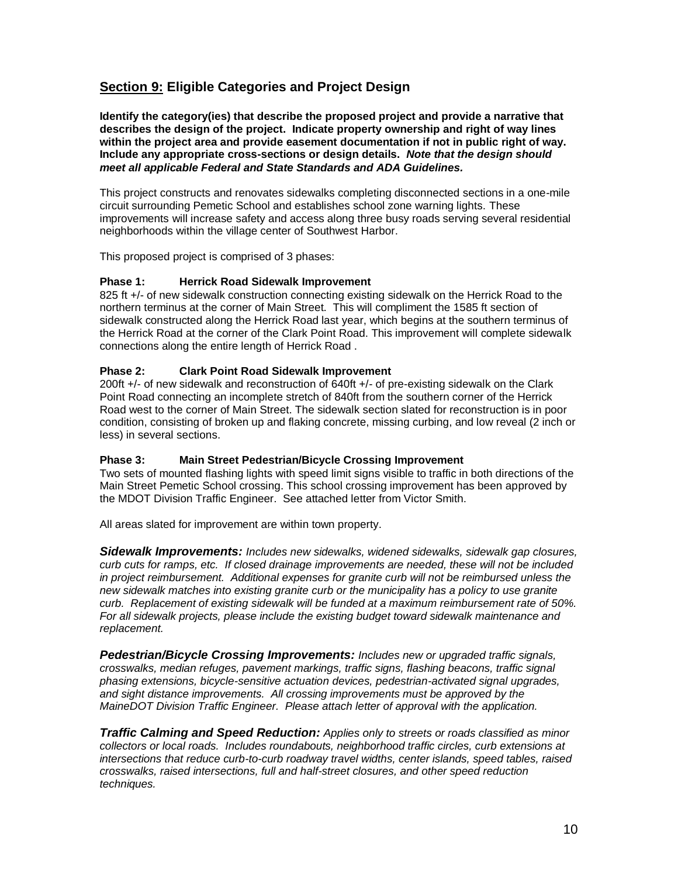# **Section 9: Eligible Categories and Project Design**

**Identify the category(ies) that describe the proposed project and provide a narrative that describes the design of the project. Indicate property ownership and right of way lines within the project area and provide easement documentation if not in public right of way. Include any appropriate cross-sections or design details.** *Note that the design should meet all applicable Federal and State Standards and ADA Guidelines.*

This project constructs and renovates sidewalks completing disconnected sections in a one-mile circuit surrounding Pemetic School and establishes school zone warning lights. These improvements will increase safety and access along three busy roads serving several residential neighborhoods within the village center of Southwest Harbor.

This proposed project is comprised of 3 phases:

### **Phase 1: Herrick Road Sidewalk Improvement**

825 ft +/- of new sidewalk construction connecting existing sidewalk on the Herrick Road to the northern terminus at the corner of Main Street. This will compliment the 1585 ft section of sidewalk constructed along the Herrick Road last year, which begins at the southern terminus of the Herrick Road at the corner of the Clark Point Road. This improvement will complete sidewalk connections along the entire length of Herrick Road .

### **Phase 2: Clark Point Road Sidewalk Improvement**

200ft +/- of new sidewalk and reconstruction of 640ft +/- of pre-existing sidewalk on the Clark Point Road connecting an incomplete stretch of 840ft from the southern corner of the Herrick Road west to the corner of Main Street. The sidewalk section slated for reconstruction is in poor condition, consisting of broken up and flaking concrete, missing curbing, and low reveal (2 inch or less) in several sections.

### **Phase 3: Main Street Pedestrian/Bicycle Crossing Improvement**

Two sets of mounted flashing lights with speed limit signs visible to traffic in both directions of the Main Street Pemetic School crossing. This school crossing improvement has been approved by the MDOT Division Traffic Engineer. See attached letter from Victor Smith.

All areas slated for improvement are within town property.

*Sidewalk Improvements: Includes new sidewalks, widened sidewalks, sidewalk gap closures, curb cuts for ramps, etc. If closed drainage improvements are needed, these will not be included in project reimbursement. Additional expenses for granite curb will not be reimbursed unless the new sidewalk matches into existing granite curb or the municipality has a policy to use granite curb. Replacement of existing sidewalk will be funded at a maximum reimbursement rate of 50%. For all sidewalk projects, please include the existing budget toward sidewalk maintenance and replacement.*

*Pedestrian/Bicycle Crossing Improvements: Includes new or upgraded traffic signals, crosswalks, median refuges, pavement markings, traffic signs, flashing beacons, traffic signal phasing extensions, bicycle-sensitive actuation devices, pedestrian-activated signal upgrades, and sight distance improvements. All crossing improvements must be approved by the MaineDOT Division Traffic Engineer. Please attach letter of approval with the application.*

*Traffic Calming and Speed Reduction: Applies only to streets or roads classified as minor collectors or local roads. Includes roundabouts, neighborhood traffic circles, curb extensions at intersections that reduce curb-to-curb roadway travel widths, center islands, speed tables, raised crosswalks, raised intersections, full and half-street closures, and other speed reduction techniques.*